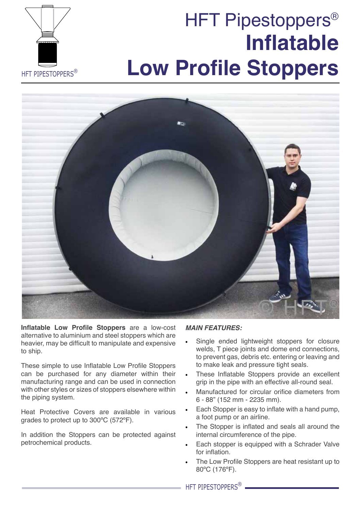# **Inflatable Low Profile Stoppers** HFT Pipestoppers<sup>®</sup>





**Inflatable Low Profile Stoppers** are a low-cost alternative to aluminium and steel stoppers which are heavier, may be difficult to manipulate and expensive to ship.

These simple to use Inflatable Low Profile Stoppers can be purchased for any diameter within their manufacturing range and can be used in connection with other styles or sizes of stoppers elsewhere within the piping system.

Heat Protective Covers are available in various grades to protect up to 300ºC (572ºF).

In addition the Stoppers can be protected against petrochemical products.

## *MAIN FEATURES:*

- Single ended lightweight stoppers for closure welds, T piece joints and dome end connections, to prevent gas, debris etc. entering or leaving and to make leak and pressure tight seals.
- These Inflatable Stoppers provide an excellent grip in the pipe with an effective all-round seal.
- Manufactured for circular orifice diameters from 6 - 88" (152 mm - 2235 mm).
- Each Stopper is easy to inflate with a hand pump. a foot pump or an airline.
- The Stopper is inflated and seals all around the internal circumference of the pipe.
- Each stopper is equipped with a Schrader Valve for inflation.
- The Low Profile Stoppers are heat resistant up to 80ºC (176ºF).

HFT PIPESTOPPERS<sup>®</sup>